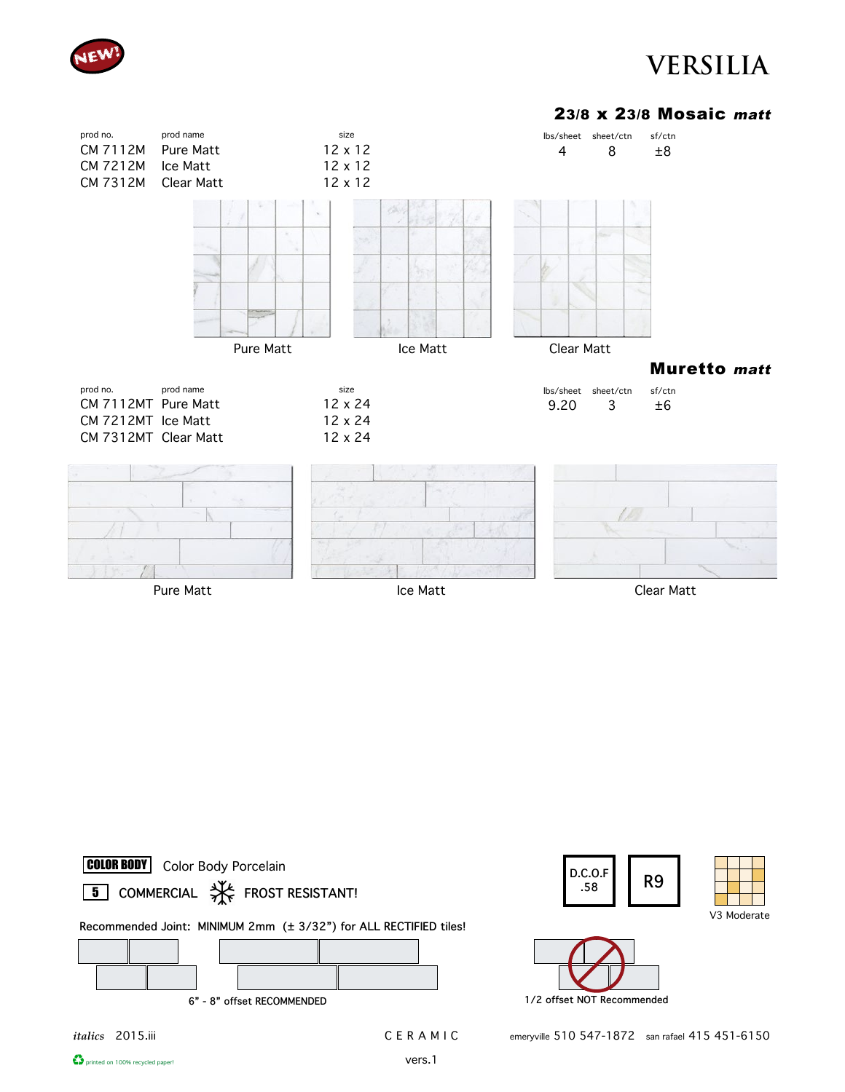

#### 23/8 x 23/8 Mosaic matt













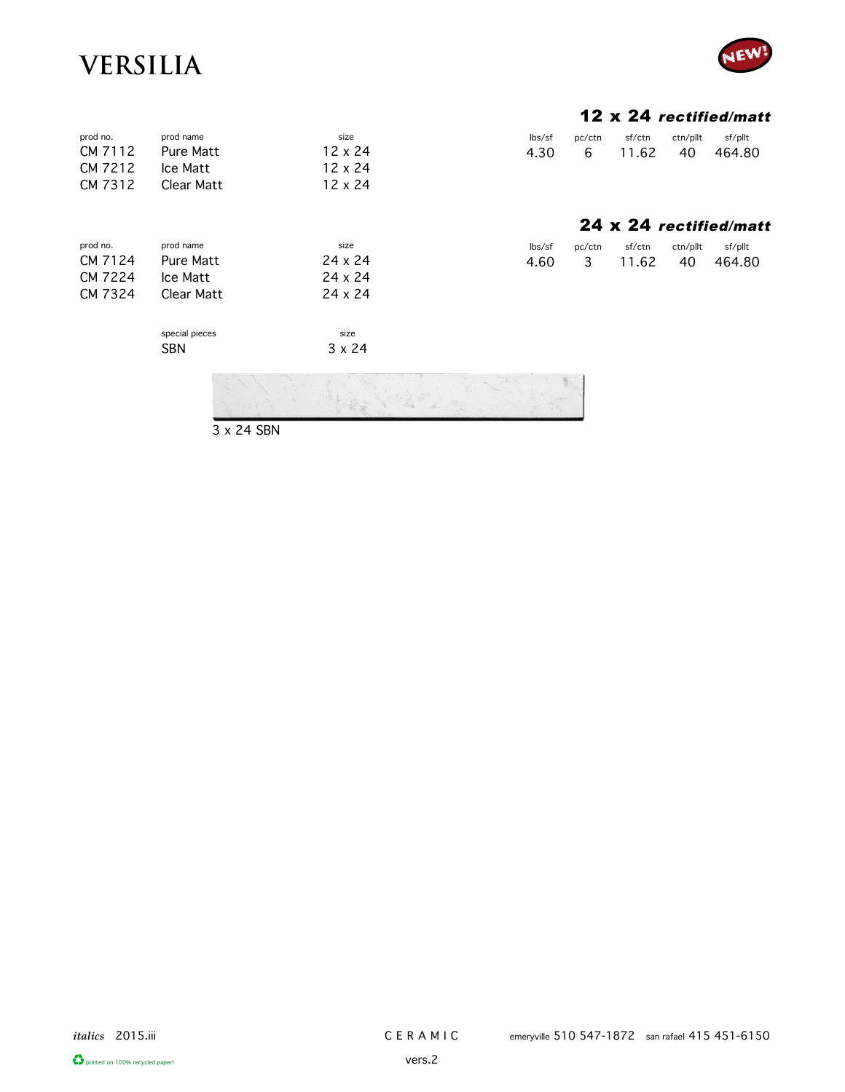prod no. prod name



#### 12 x 24 rectified/matt

24 x 24 rectified/matt

| $\mathsf{lbs}/\mathsf{sf}$ | pc/ctn   | sf/ctn | ctn/pllt | sf/pllt |
|----------------------------|----------|--------|----------|---------|
| 4.30                       | <b>6</b> | 11.62  | 40.      | 464.80  |

lbs/sf pc/ctn sf/ctn ctn/pllt sf/pllt 4.60 3 11.62 40 464.80

|                  | CM 7112 Pure Matt  | 12 x 24 |
|------------------|--------------------|---------|
| CM 7212 Ice Matt |                    | 12 x 24 |
|                  | CM 7312 Clear Matt | 12 x 24 |
|                  |                    |         |
|                  |                    |         |
|                  |                    |         |

size

size 3 x 24

| prod no. | prod name        | size    |
|----------|------------------|---------|
| CM 7124  | <b>Pure Matt</b> | 24 x 24 |
| CM 7224  | Ice Matt         | 24 x 24 |
| CM 7324  | Clear Matt       | 24 x 24 |
|          |                  |         |

special pieces SBN



3 x 24 SBN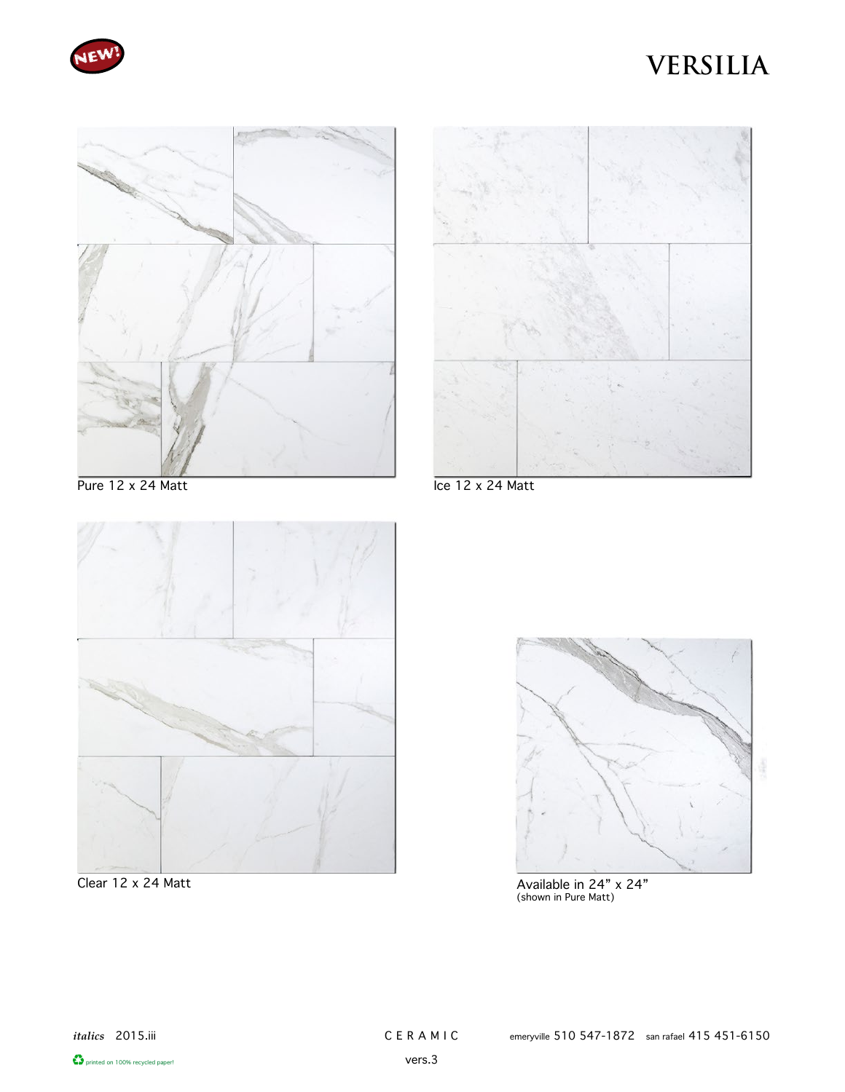





Pure 12 x 24 Matt



Clear 12 x 24 Matt

Ice 12 x 24 Matt



Available in 24" x 24" (shown in Pure Matt)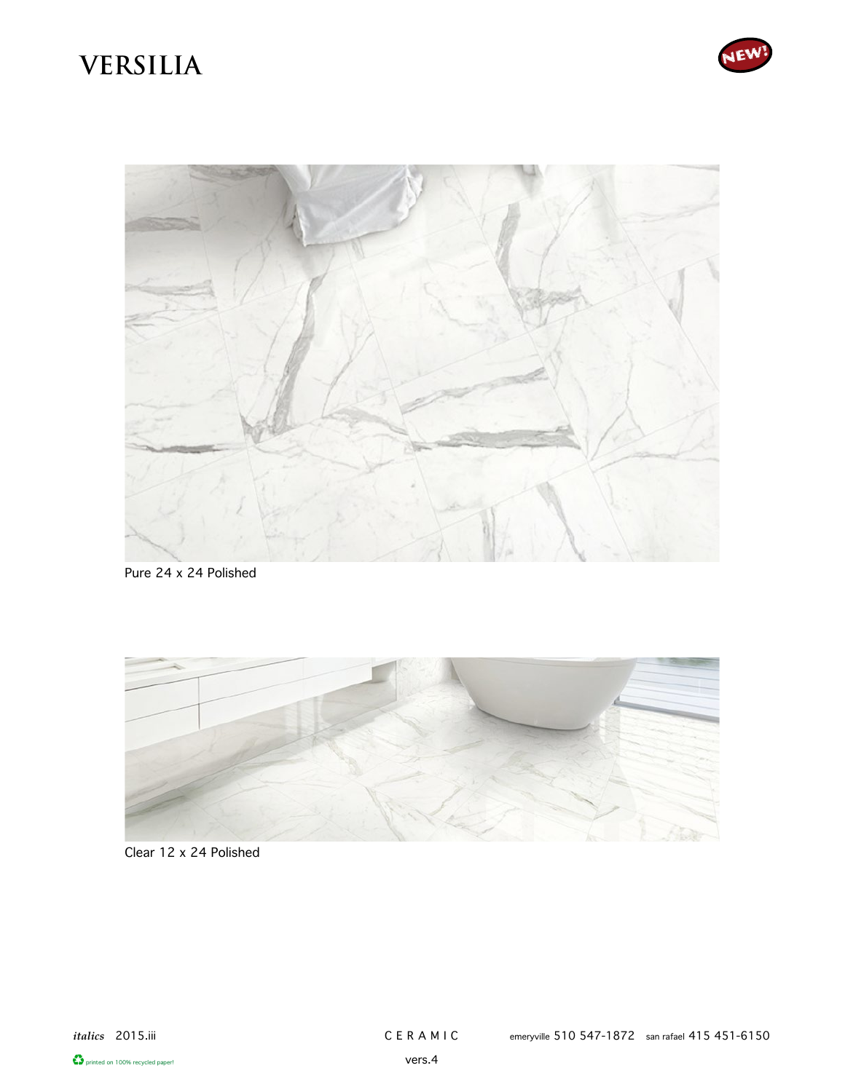



Pure 24 x 24 Polished



### Clear 12 x 24 Polished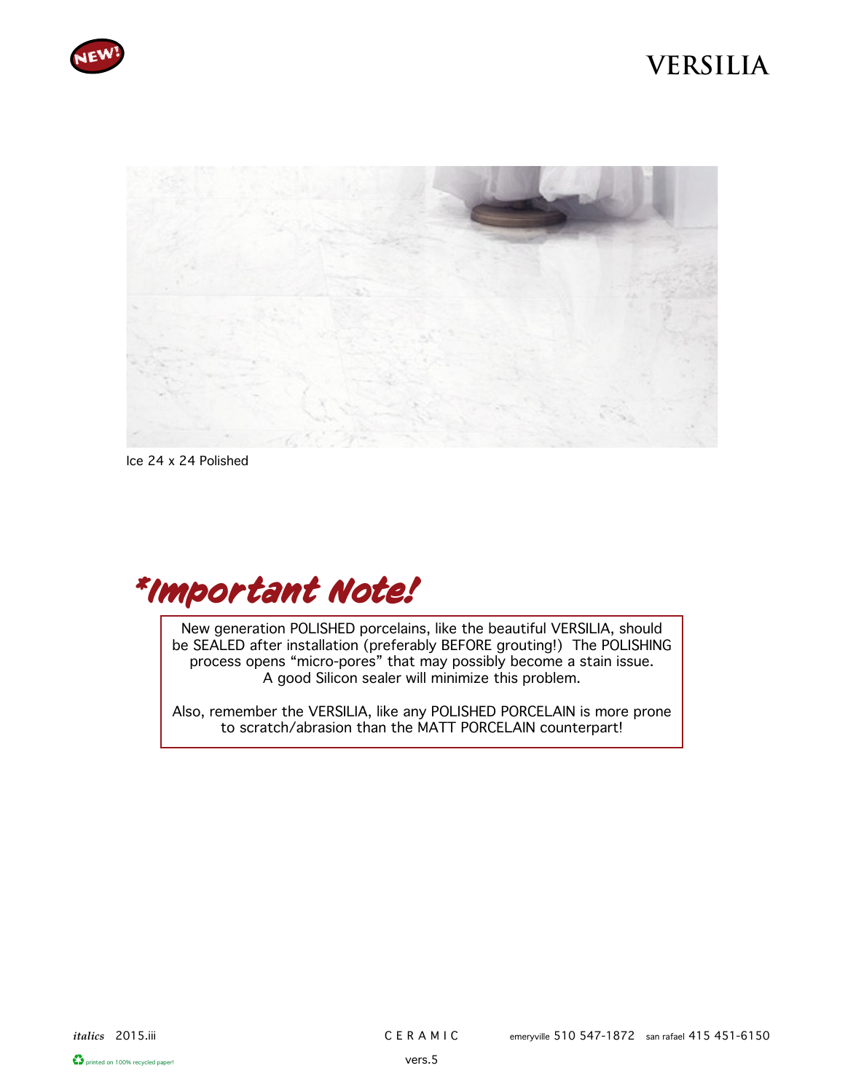



Ice 24 x 24 Polished



New generation POLISHED porcelains, like the beautiful VERSILIA, should be SEALED after installation (preferably BEFORE grouting!) The POLISHING process opens "micro-pores" that may possibly become a stain issue. A good Silicon sealer will minimize this problem.

Also, remember the VERSILIA, like any POLISHED PORCELAIN is more prone to scratch/abrasion than the MATT PORCELAIN counterpart!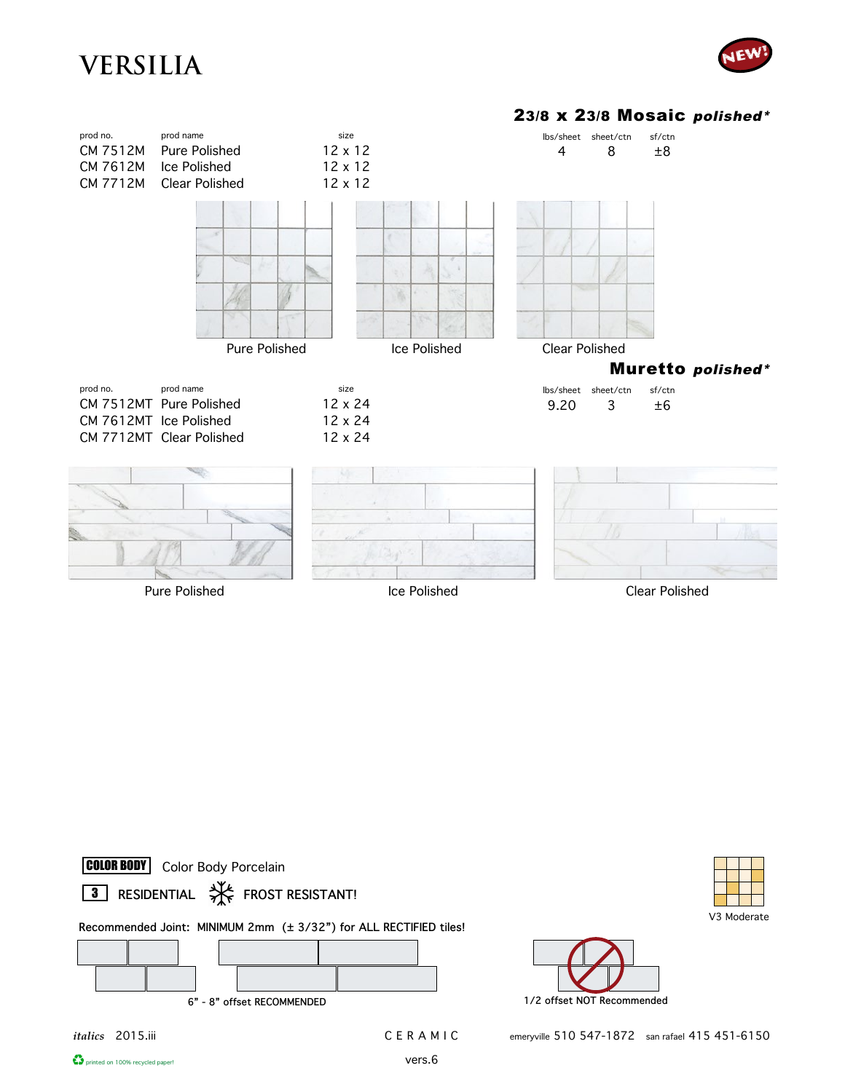









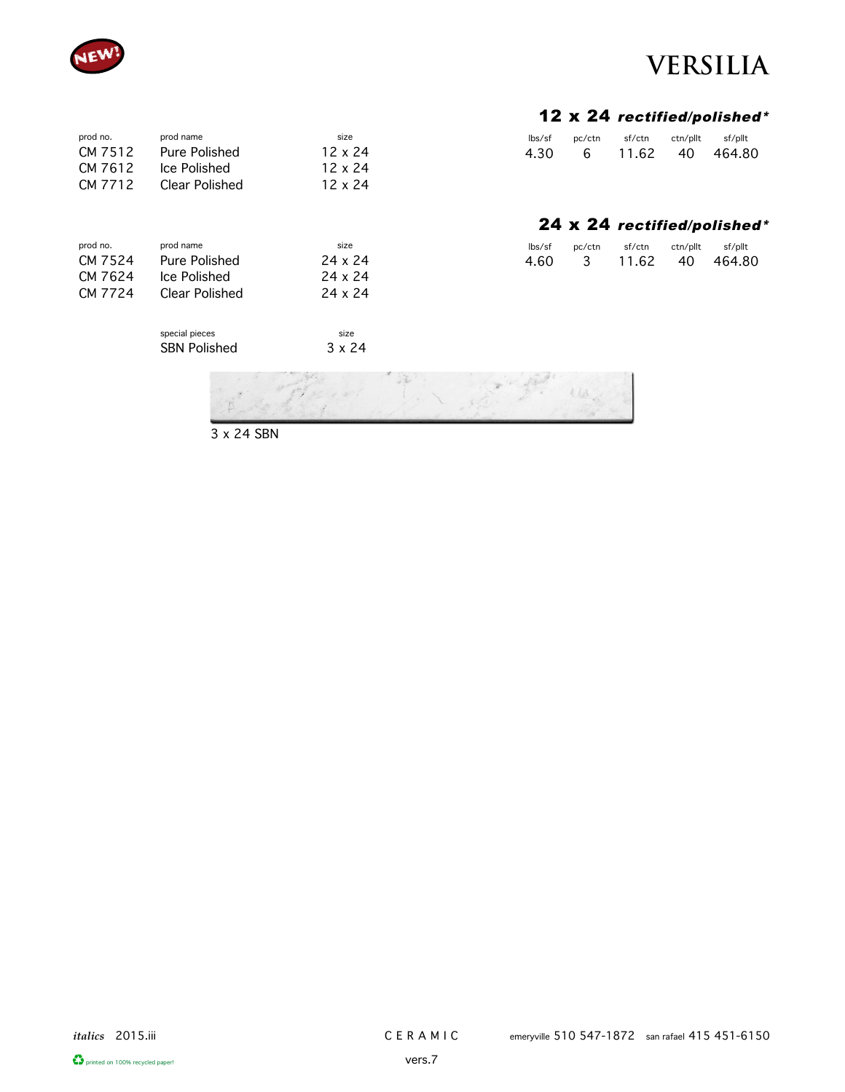

prod no. prod name

prod no. prod name CM 7524 Pure Polished CM 7624 Ice Polished

CM 7512 Pure Polished<br>CM 7612 Ice Polished CM 7612 Ice Polished<br>CM 7712 Clear Polishe

Clear Polished

### **VERSILIA**

#### 12 x 24 rectified/polished\*

| lbs/sf | pc/ctn | sf/ctn | ctn/pllt | sf/pllt         |
|--------|--------|--------|----------|-----------------|
| 4.30   | - 6 -  |        |          | 11.62 40 464.80 |
|        |        |        |          |                 |

|  |  |  |  |  | 24 x 24 rectified/polished* |
|--|--|--|--|--|-----------------------------|
|--|--|--|--|--|-----------------------------|

| $\frac{1}{5}$ | pc/ctn | sf/ctn | ctn/pllt | sf/pllt |
|---------------|--------|--------|----------|---------|
| 4.60          | 3      | 11.62  | 40       | 464.80  |

 $\iota\mu$ 

| CM 7724 | <b>Clear Polished</b> | 24 x 24       |  |
|---------|-----------------------|---------------|--|
|         | special pieces        | size          |  |
|         | <b>SBN Polished</b>   | $3 \times 24$ |  |
|         |                       |               |  |

3 x 24 SBN

size 12 x 24 12 x 24 12 x 24

size 24 x 24 24 x 24